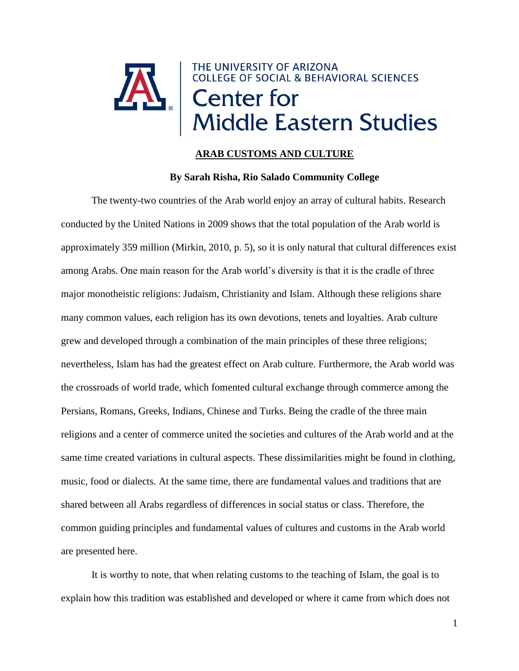

# **ARAB CUSTOMS AND CULTURE**

# **By Sarah Risha, Rio Salado Community College**

The twenty-two countries of the Arab world enjoy an array of cultural habits. Research conducted by the United Nations in 2009 shows that the total population of the Arab world is approximately 359 million (Mirkin, 2010, p. 5), so it is only natural that cultural differences exist among Arabs. One main reason for the Arab world's diversity is that it is the cradle of three major monotheistic religions: Judaism, Christianity and Islam. Although these religions share many common values, each religion has its own devotions, tenets and loyalties. Arab culture grew and developed through a combination of the main principles of these three religions; nevertheless, Islam has had the greatest effect on Arab culture. Furthermore, the Arab world was the crossroads of world trade, which fomented cultural exchange through commerce among the Persians, Romans, Greeks, Indians, Chinese and Turks. Being the cradle of the three main religions and a center of commerce united the societies and cultures of the Arab world and at the same time created variations in cultural aspects. These dissimilarities might be found in clothing, music, food or dialects. At the same time, there are fundamental values and traditions that are shared between all Arabs regardless of differences in social status or class. Therefore, the common guiding principles and fundamental values of cultures and customs in the Arab world are presented here.

It is worthy to note, that when relating customs to the teaching of Islam, the goal is to explain how this tradition was established and developed or where it came from which does not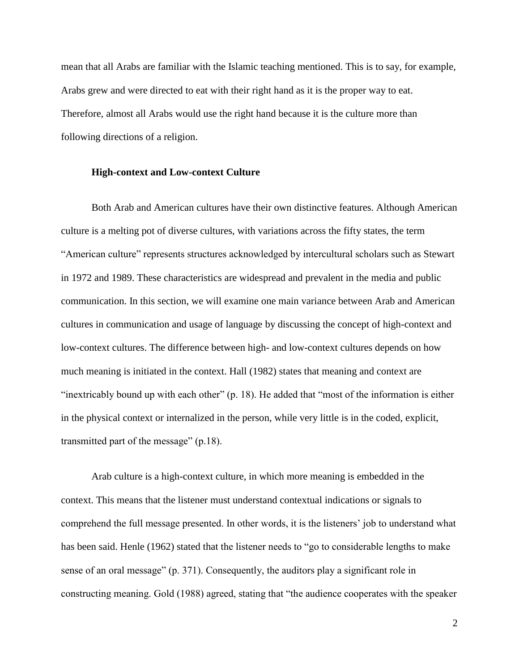mean that all Arabs are familiar with the Islamic teaching mentioned. This is to say, for example, Arabs grew and were directed to eat with their right hand as it is the proper way to eat. Therefore, almost all Arabs would use the right hand because it is the culture more than following directions of a religion.

## **High-context and Low-context Culture**

Both Arab and American cultures have their own distinctive features. Although American culture is a melting pot of diverse cultures, with variations across the fifty states, the term "American culture" represents structures acknowledged by intercultural scholars such as Stewart in 1972 and 1989. These characteristics are widespread and prevalent in the media and public communication. In this section, we will examine one main variance between Arab and American cultures in communication and usage of language by discussing the concept of high-context and low-context cultures. The difference between high- and low-context cultures depends on how much meaning is initiated in the context. Hall (1982) states that meaning and context are "inextricably bound up with each other" (p. 18). He added that "most of the information is either in the physical context or internalized in the person, while very little is in the coded, explicit, transmitted part of the message" (p.18).

Arab culture is a high-context culture, in which more meaning is embedded in the context. This means that the listener must understand contextual indications or signals to comprehend the full message presented. In other words, it is the listeners' job to understand what has been said. Henle (1962) stated that the listener needs to "go to considerable lengths to make sense of an oral message" (p. 371). Consequently, the auditors play a significant role in constructing meaning. Gold (1988) agreed, stating that "the audience cooperates with the speaker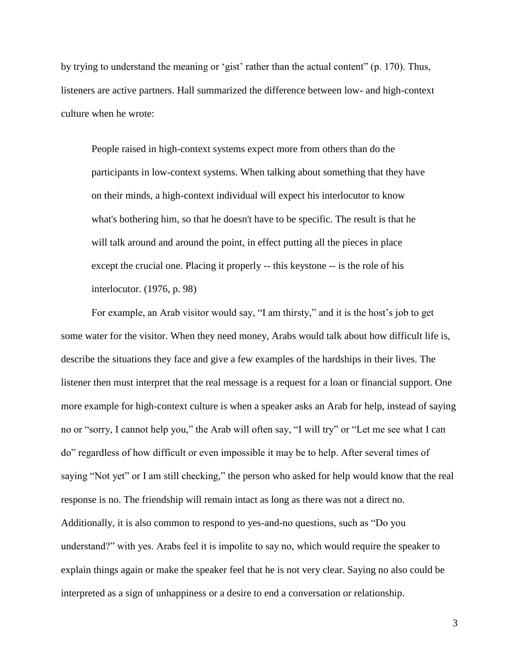by trying to understand the meaning or 'gist' rather than the actual content" (p. 170). Thus, listeners are active partners. Hall summarized the difference between low- and high-context culture when he wrote:

People raised in high-context systems expect more from others than do the participants in low-context systems. When talking about something that they have on their minds, a high-context individual will expect his interlocutor to know what's bothering him, so that he doesn't have to be specific. The result is that he will talk around and around the point, in effect putting all the pieces in place except the crucial one. Placing it properly -- this keystone -- is the role of his interlocutor. (1976, p. 98)

For example, an Arab visitor would say, "I am thirsty," and it is the host's job to get some water for the visitor. When they need money, Arabs would talk about how difficult life is, describe the situations they face and give a few examples of the hardships in their lives. The listener then must interpret that the real message is a request for a loan or financial support. One more example for high-context culture is when a speaker asks an Arab for help, instead of saying no or "sorry, I cannot help you," the Arab will often say, "I will try" or "Let me see what I can do" regardless of how difficult or even impossible it may be to help. After several times of saying "Not yet" or I am still checking," the person who asked for help would know that the real response is no. The friendship will remain intact as long as there was not a direct no. Additionally, it is also common to respond to yes-and-no questions, such as "Do you understand?" with yes. Arabs feel it is impolite to say no, which would require the speaker to explain things again or make the speaker feel that he is not very clear. Saying no also could be interpreted as a sign of unhappiness or a desire to end a conversation or relationship.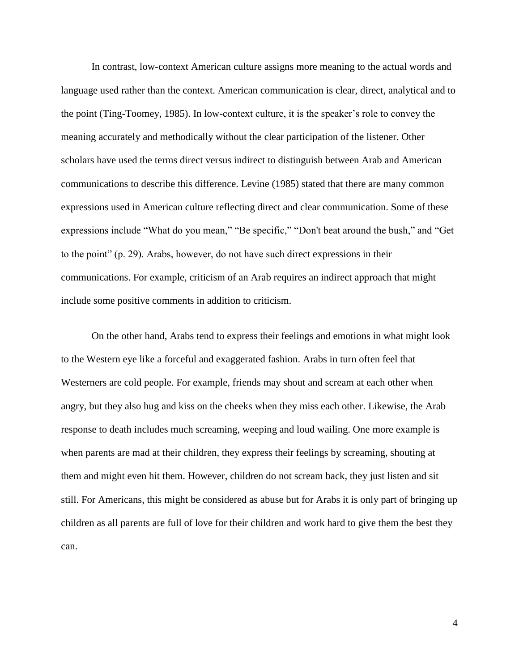In contrast, low-context American culture assigns more meaning to the actual words and language used rather than the context. American communication is clear, direct, analytical and to the point (Ting-Toomey, 1985). In low-context culture, it is the speaker's role to convey the meaning accurately and methodically without the clear participation of the listener. Other scholars have used the terms direct versus indirect to distinguish between Arab and American communications to describe this difference. Levine (1985) stated that there are many common expressions used in American culture reflecting direct and clear communication. Some of these expressions include "What do you mean," "Be specific," "Don't beat around the bush," and "Get to the point" (p. 29). Arabs, however, do not have such direct expressions in their communications. For example, criticism of an Arab requires an indirect approach that might include some positive comments in addition to criticism.

On the other hand, Arabs tend to express their feelings and emotions in what might look to the Western eye like a forceful and exaggerated fashion. Arabs in turn often feel that Westerners are cold people. For example, friends may shout and scream at each other when angry, but they also hug and kiss on the cheeks when they miss each other. Likewise, the Arab response to death includes much screaming, weeping and loud wailing. One more example is when parents are mad at their children, they express their feelings by screaming, shouting at them and might even hit them. However, children do not scream back, they just listen and sit still. For Americans, this might be considered as abuse but for Arabs it is only part of bringing up children as all parents are full of love for their children and work hard to give them the best they can.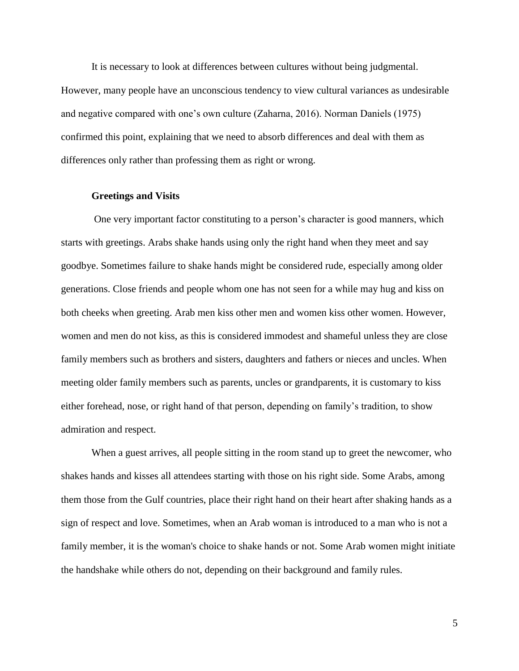It is necessary to look at differences between cultures without being judgmental. However, many people have an unconscious tendency to view cultural variances as undesirable and negative compared with one's own culture (Zaharna, 2016). Norman Daniels (1975) confirmed this point, explaining that we need to absorb differences and deal with them as differences only rather than professing them as right or wrong.

#### **Greetings and Visits**

One very important factor constituting to a person's character is good manners, which starts with greetings. Arabs shake hands using only the right hand when they meet and say goodbye. Sometimes failure to shake hands might be considered rude, especially among older generations. Close friends and people whom one has not seen for a while may hug and kiss on both cheeks when greeting. Arab men kiss other men and women kiss other women. However, women and men do not kiss, as this is considered immodest and shameful unless they are close family members such as brothers and sisters, daughters and fathers or nieces and uncles. When meeting older family members such as parents, uncles or grandparents, it is customary to kiss either forehead, nose, or right hand of that person, depending on family's tradition, to show admiration and respect.

When a guest arrives, all people sitting in the room stand up to greet the newcomer, who shakes hands and kisses all attendees starting with those on his right side. Some Arabs, among them those from the Gulf countries, place their right hand on their heart after shaking hands as a sign of respect and love. Sometimes, when an Arab woman is introduced to a man who is not a family member, it is the woman's choice to shake hands or not. Some Arab women might initiate the handshake while others do not, depending on their background and family rules.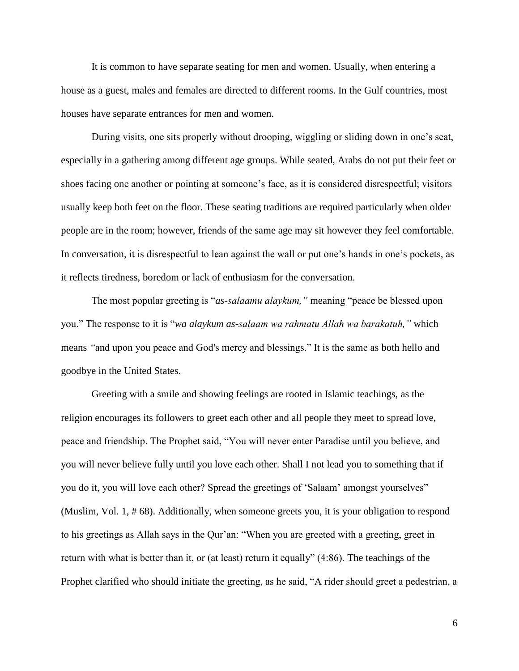It is common to have separate seating for men and women. Usually, when entering a house as a guest, males and females are directed to different rooms. In the Gulf countries, most houses have separate entrances for men and women.

During visits, one sits properly without drooping, wiggling or sliding down in one's seat, especially in a gathering among different age groups. While seated, Arabs do not put their feet or shoes facing one another or pointing at someone's face, as it is considered disrespectful; visitors usually keep both feet on the floor. These seating traditions are required particularly when older people are in the room; however, friends of the same age may sit however they feel comfortable. In conversation, it is disrespectful to lean against the wall or put one's hands in one's pockets, as it reflects tiredness, boredom or lack of enthusiasm for the conversation.

The most popular greeting is "*as-salaamu alaykum,"* meaning "peace be blessed upon you." The response to it is "*wa alaykum as-salaam wa rahmatu Allah wa barakatuh,"* which means *"*and upon you peace and God's mercy and blessings." It is the same as both hello and goodbye in the United States.

Greeting with a smile and showing feelings are rooted in Islamic teachings, as the religion encourages its followers to greet each other and all people they meet to spread love, peace and friendship. The Prophet said, "You will never enter Paradise until you believe, and you will never believe fully until you love each other. Shall I not lead you to something that if you do it, you will love each other? Spread the greetings of 'Salaam' amongst yourselves" (Muslim, Vol. 1, # 68). Additionally, when someone greets you, it is your obligation to respond to his greetings as Allah says in the Qur'an: "When you are greeted with a greeting, greet in return with what is better than it, or (at least) return it equally" (4:86). The teachings of the Prophet clarified who should initiate the greeting, as he said, "A rider should greet a pedestrian, a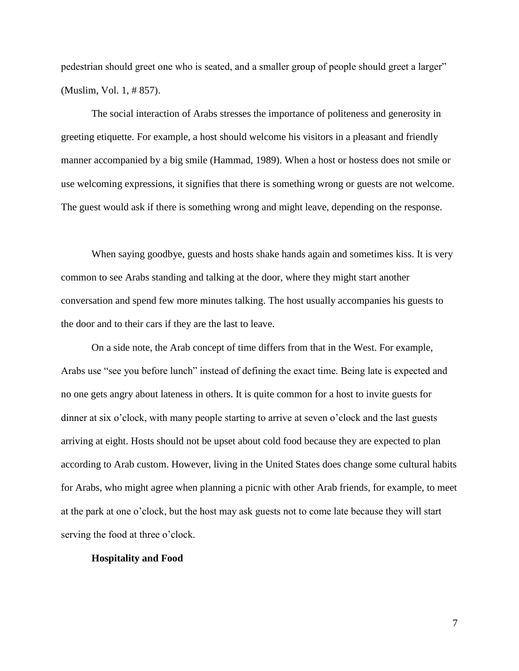pedestrian should greet one who is seated, and a smaller group of people should greet a larger" (Muslim, Vol. 1, # 857).

The social interaction of Arabs stresses the importance of politeness and generosity in greeting etiquette. For example, a host should welcome his visitors in a pleasant and friendly manner accompanied by a big smile (Hammad, 1989). When a host or hostess does not smile or use welcoming expressions, it signifies that there is something wrong or guests are not welcome. The guest would ask if there is something wrong and might leave, depending on the response.

When saying goodbye, guests and hosts shake hands again and sometimes kiss. It is very common to see Arabs standing and talking at the door, where they might start another conversation and spend few more minutes talking. The host usually accompanies his guests to the door and to their cars if they are the last to leave.

On a side note, the Arab concept of time differs from that in the West. For example, Arabs use "see you before lunch" instead of defining the exact time. Being late is expected and no one gets angry about lateness in others. It is quite common for a host to invite guests for dinner at six o'clock, with many people starting to arrive at seven o'clock and the last guests arriving at eight. Hosts should not be upset about cold food because they are expected to plan according to Arab custom. However, living in the United States does change some cultural habits for Arabs, who might agree when planning a picnic with other Arab friends, for example, to meet at the park at one o'clock, but the host may ask guests not to come late because they will start serving the food at three o'clock.

## **Hospitality and Food**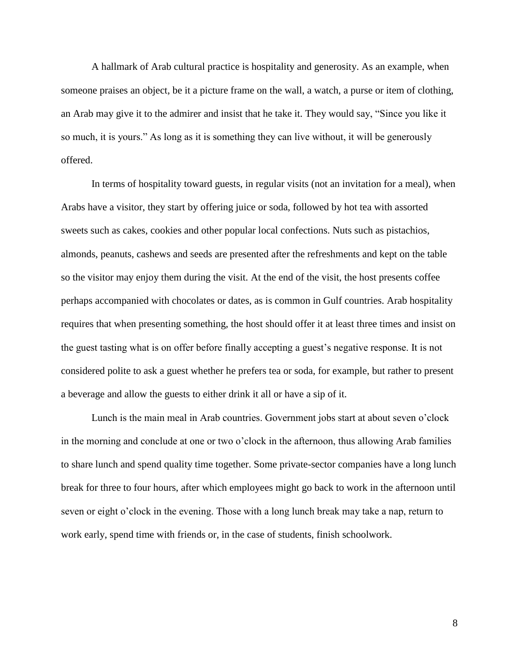A hallmark of Arab cultural practice is hospitality and generosity. As an example, when someone praises an object, be it a picture frame on the wall, a watch, a purse or item of clothing, an Arab may give it to the admirer and insist that he take it. They would say, "Since you like it so much, it is yours." As long as it is something they can live without, it will be generously offered.

In terms of hospitality toward guests, in regular visits (not an invitation for a meal), when Arabs have a visitor, they start by offering juice or soda, followed by hot tea with assorted sweets such as cakes, cookies and other popular local confections. Nuts such as pistachios, almonds, peanuts, cashews and seeds are presented after the refreshments and kept on the table so the visitor may enjoy them during the visit. At the end of the visit, the host presents coffee perhaps accompanied with chocolates or dates, as is common in Gulf countries. Arab hospitality requires that when presenting something, the host should offer it at least three times and insist on the guest tasting what is on offer before finally accepting a guest's negative response. It is not considered polite to ask a guest whether he prefers tea or soda, for example, but rather to present a beverage and allow the guests to either drink it all or have a sip of it.

Lunch is the main meal in Arab countries. Government jobs start at about seven o'clock in the morning and conclude at one or two o'clock in the afternoon, thus allowing Arab families to share lunch and spend quality time together. Some private-sector companies have a long lunch break for three to four hours, after which employees might go back to work in the afternoon until seven or eight o'clock in the evening. Those with a long lunch break may take a nap, return to work early, spend time with friends or, in the case of students, finish schoolwork.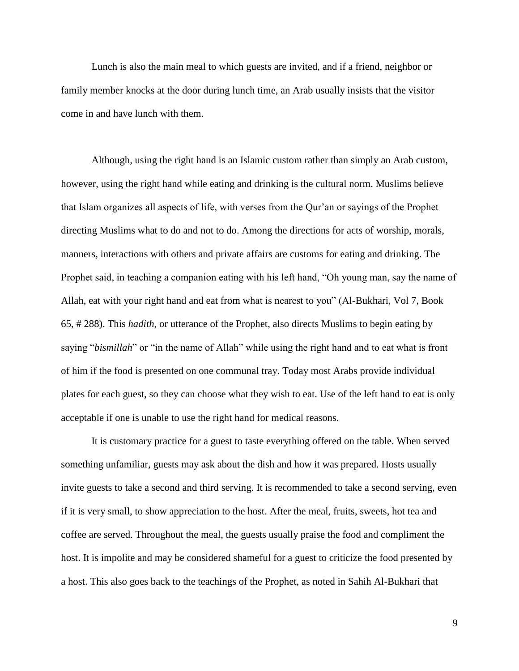Lunch is also the main meal to which guests are invited, and if a friend, neighbor or family member knocks at the door during lunch time, an Arab usually insists that the visitor come in and have lunch with them.

Although, using the right hand is an Islamic custom rather than simply an Arab custom, however, using the right hand while eating and drinking is the cultural norm. Muslims believe that Islam organizes all aspects of life, with verses from the Qur'an or sayings of the Prophet directing Muslims what to do and not to do. Among the directions for acts of worship, morals, manners, interactions with others and private affairs are customs for eating and drinking. The Prophet said, in teaching a companion eating with his left hand, "Oh young man, say the name of Allah, eat with your right hand and eat from what is nearest to you" (Al-Bukhari, Vol 7, Book 65, # 288). This *hadith*, or utterance of the Prophet, also directs Muslims to begin eating by saying "*bismillah*" or "in the name of Allah" while using the right hand and to eat what is front of him if the food is presented on one communal tray. Today most Arabs provide individual plates for each guest, so they can choose what they wish to eat. Use of the left hand to eat is only acceptable if one is unable to use the right hand for medical reasons.

It is customary practice for a guest to taste everything offered on the table. When served something unfamiliar, guests may ask about the dish and how it was prepared. Hosts usually invite guests to take a second and third serving. It is recommended to take a second serving, even if it is very small, to show appreciation to the host. After the meal, fruits, sweets, hot tea and coffee are served. Throughout the meal, the guests usually praise the food and compliment the host. It is impolite and may be considered shameful for a guest to criticize the food presented by a host. This also goes back to the teachings of the Prophet, as noted in Sahih Al-Bukhari that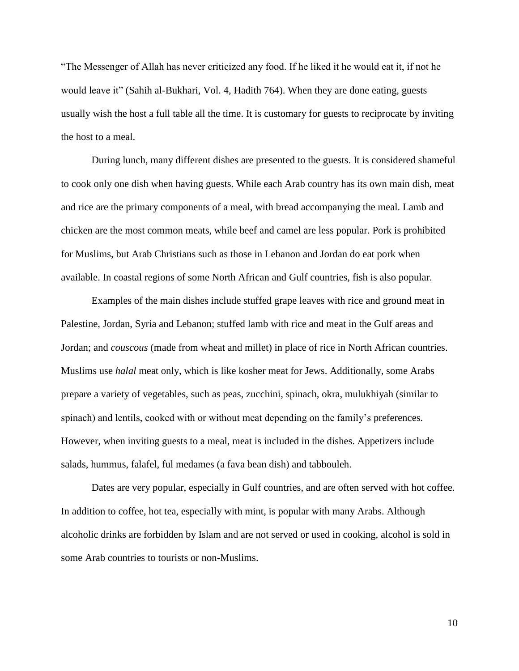"The Messenger of Allah has never criticized any food. If he liked it he would eat it, if not he would leave it" (Sahih al-Bukhari, Vol. 4, Hadith 764). When they are done eating, guests usually wish the host a full table all the time. It is customary for guests to reciprocate by inviting the host to a meal.

During lunch, many different dishes are presented to the guests. It is considered shameful to cook only one dish when having guests. While each Arab country has its own main dish, meat and rice are the primary components of a meal, with bread accompanying the meal. Lamb and chicken are the most common meats, while beef and camel are less popular. Pork is prohibited for Muslims, but Arab Christians such as those in Lebanon and Jordan do eat pork when available. In coastal regions of some North African and Gulf countries, fish is also popular.

Examples of the main dishes include stuffed grape leaves with rice and ground meat in Palestine, Jordan, Syria and Lebanon; stuffed lamb with rice and meat in the Gulf areas and Jordan; and *couscous* (made from wheat and millet) in place of rice in North African countries. Muslims use *halal* meat only, which is like kosher meat for Jews. Additionally, some Arabs prepare a variety of vegetables, such as peas, zucchini, spinach, okra, mulukhiyah (similar to spinach) and lentils, cooked with or without meat depending on the family's preferences. However, when inviting guests to a meal, meat is included in the dishes. Appetizers include salads, hummus, falafel, ful medames (a fava bean dish) and tabbouleh.

Dates are very popular, especially in Gulf countries, and are often served with hot coffee. In addition to coffee, hot tea, especially with mint, is popular with many Arabs. Although alcoholic drinks are forbidden by Islam and are not served or used in cooking, alcohol is sold in some Arab countries to tourists or non-Muslims.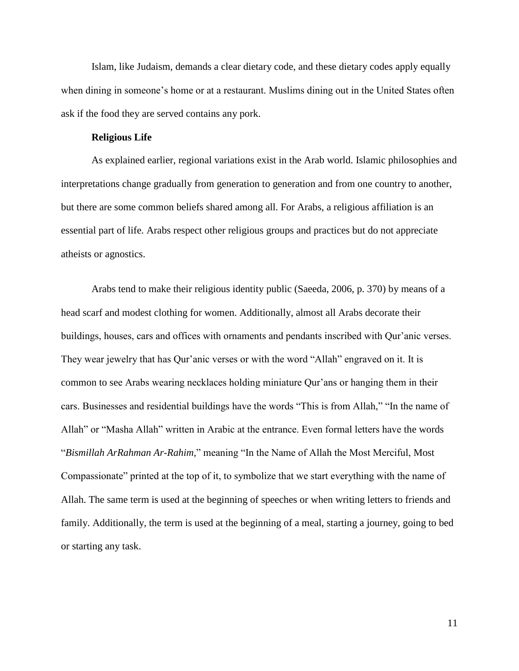Islam, like Judaism, demands a clear dietary code, and these dietary codes apply equally when dining in someone's home or at a restaurant. Muslims dining out in the United States often ask if the food they are served contains any pork.

## **Religious Life**

As explained earlier, regional variations exist in the Arab world. Islamic philosophies and interpretations change gradually from generation to generation and from one country to another, but there are some common beliefs shared among all. For Arabs, a religious affiliation is an essential part of life. Arabs respect other religious groups and practices but do not appreciate atheists or agnostics.

Arabs tend to make their religious identity public (Saeeda, 2006, p. 370) by means of a head scarf and modest clothing for women. Additionally, almost all Arabs decorate their buildings, houses, cars and offices with ornaments and pendants inscribed with Qur'anic verses. They wear jewelry that has Qur'anic verses or with the word "Allah" engraved on it. It is common to see Arabs wearing necklaces holding miniature Qur'ans or hanging them in their cars. Businesses and residential buildings have the words "This is from Allah," "In the name of Allah" or "Masha Allah" written in Arabic at the entrance. Even formal letters have the words "*Bismillah ArRahman Ar-Rahim,*" meaning "In the Name of Allah the Most Merciful, Most Compassionate" printed at the top of it, to symbolize that we start everything with the name of Allah. The same term is used at the beginning of speeches or when writing letters to friends and family. Additionally, the term is used at the beginning of a meal, starting a journey, going to bed or starting any task.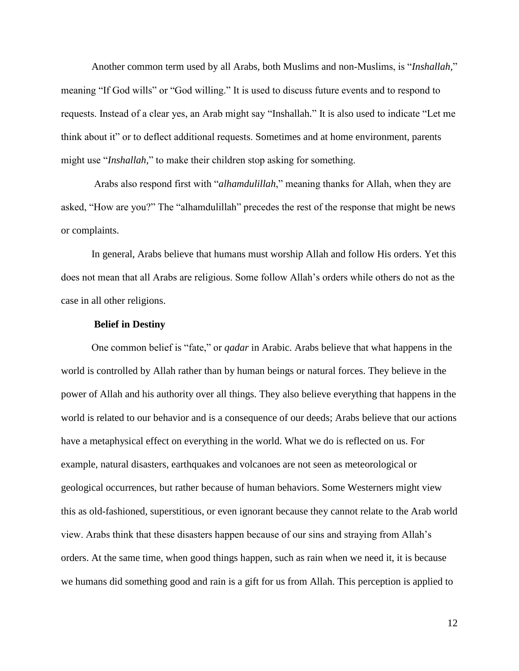Another common term used by all Arabs, both Muslims and non-Muslims, is "*Inshallah,*" meaning "If God wills" or "God willing." It is used to discuss future events and to respond to requests. Instead of a clear yes, an Arab might say "Inshallah." It is also used to indicate "Let me think about it" or to deflect additional requests. Sometimes and at home environment, parents might use "*Inshallah,*" to make their children stop asking for something.

Arabs also respond first with "*alhamdulillah*," meaning thanks for Allah, when they are asked, "How are you?" The "alhamdulillah" precedes the rest of the response that might be news or complaints.

In general, Arabs believe that humans must worship Allah and follow His orders. Yet this does not mean that all Arabs are religious. Some follow Allah's orders while others do not as the case in all other religions.

## **Belief in Destiny**

One common belief is "fate," or *qadar* in Arabic. Arabs believe that what happens in the world is controlled by Allah rather than by human beings or natural forces. They believe in the power of Allah and his authority over all things. They also believe everything that happens in the world is related to our behavior and is a consequence of our deeds; Arabs believe that our actions have a metaphysical effect on everything in the world. What we do is reflected on us. For example, natural disasters, earthquakes and volcanoes are not seen as meteorological or geological occurrences, but rather because of human behaviors. Some Westerners might view this as old-fashioned, superstitious, or even ignorant because they cannot relate to the Arab world view. Arabs think that these disasters happen because of our sins and straying from Allah's orders. At the same time, when good things happen, such as rain when we need it, it is because we humans did something good and rain is a gift for us from Allah. This perception is applied to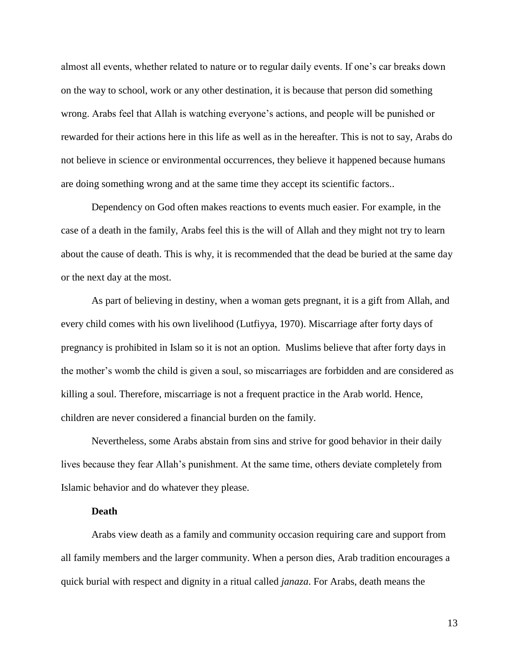almost all events, whether related to nature or to regular daily events. If one's car breaks down on the way to school, work or any other destination, it is because that person did something wrong. Arabs feel that Allah is watching everyone's actions, and people will be punished or rewarded for their actions here in this life as well as in the hereafter. This is not to say, Arabs do not believe in science or environmental occurrences, they believe it happened because humans are doing something wrong and at the same time they accept its scientific factors..

Dependency on God often makes reactions to events much easier. For example, in the case of a death in the family, Arabs feel this is the will of Allah and they might not try to learn about the cause of death. This is why, it is recommended that the dead be buried at the same day or the next day at the most.

As part of believing in destiny, when a woman gets pregnant, it is a gift from Allah, and every child comes with his own livelihood (Lutfiyya, 1970). Miscarriage after forty days of pregnancy is prohibited in Islam so it is not an option. Muslims believe that after forty days in the mother's womb the child is given a soul, so miscarriages are forbidden and are considered as killing a soul. Therefore, miscarriage is not a frequent practice in the Arab world. Hence, children are never considered a financial burden on the family.

Nevertheless, some Arabs abstain from sins and strive for good behavior in their daily lives because they fear Allah's punishment. At the same time, others deviate completely from Islamic behavior and do whatever they please.

## **Death**

Arabs view death as a family and community occasion requiring care and support from all family members and the larger community. When a person dies, Arab tradition encourages a quick burial with respect and dignity in a ritual called *janaza*. For Arabs, death means the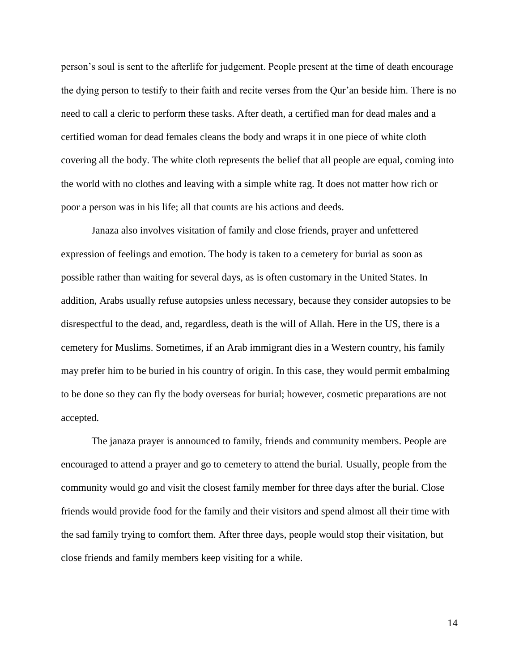person's soul is sent to the afterlife for judgement. People present at the time of death encourage the dying person to testify to their faith and recite verses from the Qur'an beside him. There is no need to call a cleric to perform these tasks. After death, a certified man for dead males and a certified woman for dead females cleans the body and wraps it in one piece of white cloth covering all the body. The white cloth represents the belief that all people are equal, coming into the world with no clothes and leaving with a simple white rag. It does not matter how rich or poor a person was in his life; all that counts are his actions and deeds.

Janaza also involves visitation of family and close friends, prayer and unfettered expression of feelings and emotion. The body is taken to a cemetery for burial as soon as possible rather than waiting for several days, as is often customary in the United States. In addition, Arabs usually refuse autopsies unless necessary, because they consider autopsies to be disrespectful to the dead, and, regardless, death is the will of Allah. Here in the US, there is a cemetery for Muslims. Sometimes, if an Arab immigrant dies in a Western country, his family may prefer him to be buried in his country of origin. In this case, they would permit embalming to be done so they can fly the body overseas for burial; however, cosmetic preparations are not accepted.

The janaza prayer is announced to family, friends and community members. People are encouraged to attend a prayer and go to cemetery to attend the burial. Usually, people from the community would go and visit the closest family member for three days after the burial. Close friends would provide food for the family and their visitors and spend almost all their time with the sad family trying to comfort them. After three days, people would stop their visitation, but close friends and family members keep visiting for a while.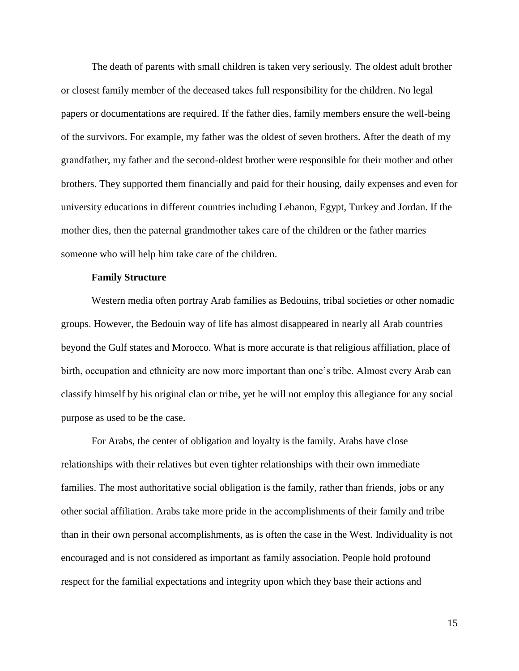The death of parents with small children is taken very seriously. The oldest adult brother or closest family member of the deceased takes full responsibility for the children. No legal papers or documentations are required. If the father dies, family members ensure the well-being of the survivors. For example, my father was the oldest of seven brothers. After the death of my grandfather, my father and the second-oldest brother were responsible for their mother and other brothers. They supported them financially and paid for their housing, daily expenses and even for university educations in different countries including Lebanon, Egypt, Turkey and Jordan. If the mother dies, then the paternal grandmother takes care of the children or the father marries someone who will help him take care of the children.

## **Family Structure**

Western media often portray Arab families as Bedouins, tribal societies or other nomadic groups. However, the Bedouin way of life has almost disappeared in nearly all Arab countries beyond the Gulf states and Morocco. What is more accurate is that religious affiliation, place of birth, occupation and ethnicity are now more important than one's tribe. Almost every Arab can classify himself by his original clan or tribe, yet he will not employ this allegiance for any social purpose as used to be the case.

For Arabs, the center of obligation and loyalty is the family. Arabs have close relationships with their relatives but even tighter relationships with their own immediate families. The most authoritative social obligation is the family, rather than friends, jobs or any other social affiliation. Arabs take more pride in the accomplishments of their family and tribe than in their own personal accomplishments, as is often the case in the West. Individuality is not encouraged and is not considered as important as family association. People hold profound respect for the familial expectations and integrity upon which they base their actions and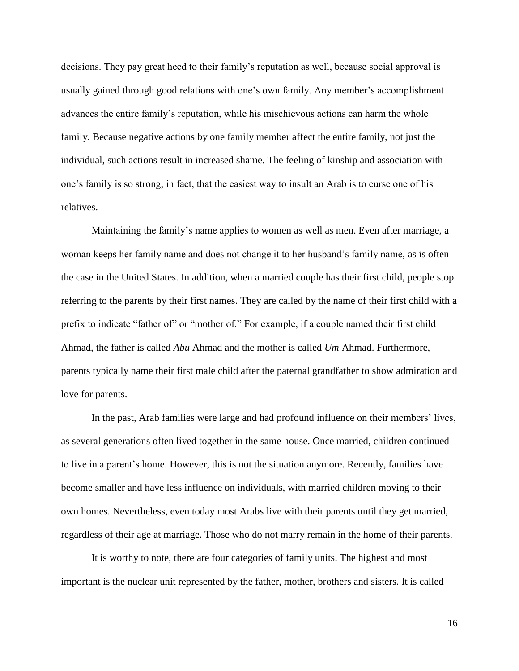decisions. They pay great heed to their family's reputation as well, because social approval is usually gained through good relations with one's own family. Any member's accomplishment advances the entire family's reputation, while his mischievous actions can harm the whole family. Because negative actions by one family member affect the entire family, not just the individual, such actions result in increased shame. The feeling of kinship and association with one's family is so strong, in fact, that the easiest way to insult an Arab is to curse one of his relatives.

Maintaining the family's name applies to women as well as men. Even after marriage, a woman keeps her family name and does not change it to her husband's family name, as is often the case in the United States. In addition, when a married couple has their first child, people stop referring to the parents by their first names. They are called by the name of their first child with a prefix to indicate "father of" or "mother of." For example, if a couple named their first child Ahmad, the father is called *Abu* Ahmad and the mother is called *Um* Ahmad. Furthermore, parents typically name their first male child after the paternal grandfather to show admiration and love for parents.

In the past, Arab families were large and had profound influence on their members' lives, as several generations often lived together in the same house. Once married, children continued to live in a parent's home. However, this is not the situation anymore. Recently, families have become smaller and have less influence on individuals, with married children moving to their own homes. Nevertheless, even today most Arabs live with their parents until they get married, regardless of their age at marriage. Those who do not marry remain in the home of their parents.

It is worthy to note, there are four categories of family units. The highest and most important is the nuclear unit represented by the father, mother, brothers and sisters. It is called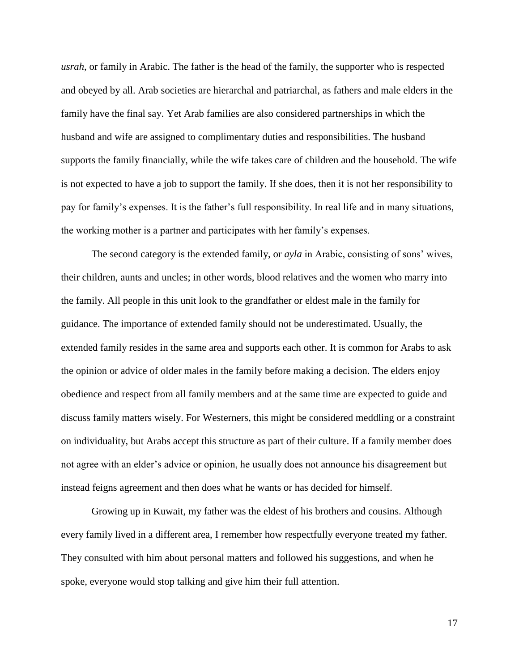*usrah*, or family in Arabic. The father is the head of the family, the supporter who is respected and obeyed by all. Arab societies are hierarchal and patriarchal, as fathers and male elders in the family have the final say. Yet Arab families are also considered partnerships in which the husband and wife are assigned to complimentary duties and responsibilities. The husband supports the family financially, while the wife takes care of children and the household. The wife is not expected to have a job to support the family. If she does, then it is not her responsibility to pay for family's expenses. It is the father's full responsibility. In real life and in many situations, the working mother is a partner and participates with her family's expenses.

The second category is the extended family, or *ayla* in Arabic, consisting of sons' wives, their children, aunts and uncles; in other words, blood relatives and the women who marry into the family. All people in this unit look to the grandfather or eldest male in the family for guidance. The importance of extended family should not be underestimated. Usually, the extended family resides in the same area and supports each other. It is common for Arabs to ask the opinion or advice of older males in the family before making a decision. The elders enjoy obedience and respect from all family members and at the same time are expected to guide and discuss family matters wisely. For Westerners, this might be considered meddling or a constraint on individuality, but Arabs accept this structure as part of their culture. If a family member does not agree with an elder's advice or opinion, he usually does not announce his disagreement but instead feigns agreement and then does what he wants or has decided for himself.

Growing up in Kuwait, my father was the eldest of his brothers and cousins. Although every family lived in a different area, I remember how respectfully everyone treated my father. They consulted with him about personal matters and followed his suggestions, and when he spoke, everyone would stop talking and give him their full attention.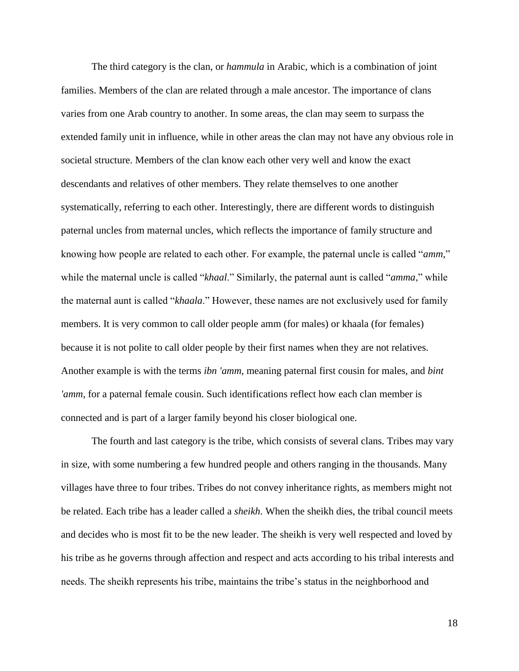The third category is the clan, or *hammula* in Arabic, which is a combination of joint families. Members of the clan are related through a male ancestor. The importance of clans varies from one Arab country to another. In some areas, the clan may seem to surpass the extended family unit in influence, while in other areas the clan may not have any obvious role in societal structure. Members of the clan know each other very well and know the exact descendants and relatives of other members. They relate themselves to one another systematically, referring to each other. Interestingly, there are different words to distinguish paternal uncles from maternal uncles, which reflects the importance of family structure and knowing how people are related to each other. For example, the paternal uncle is called "*amm,*" while the maternal uncle is called "*khaal*." Similarly, the paternal aunt is called "*amma*," while the maternal aunt is called "*khaala*." However, these names are not exclusively used for family members. It is very common to call older people amm (for males) or khaala (for females) because it is not polite to call older people by their first names when they are not relatives. Another example is with the terms *ibn 'amm*, meaning paternal first cousin for males, and *bint 'amm*, for a paternal female cousin. Such identifications reflect how each clan member is connected and is part of a larger family beyond his closer biological one.

The fourth and last category is the tribe, which consists of several clans. Tribes may vary in size, with some numbering a few hundred people and others ranging in the thousands. Many villages have three to four tribes. Tribes do not convey inheritance rights, as members might not be related. Each tribe has a leader called a *sheikh*. When the sheikh dies, the tribal council meets and decides who is most fit to be the new leader. The sheikh is very well respected and loved by his tribe as he governs through affection and respect and acts according to his tribal interests and needs. The sheikh represents his tribe, maintains the tribe's status in the neighborhood and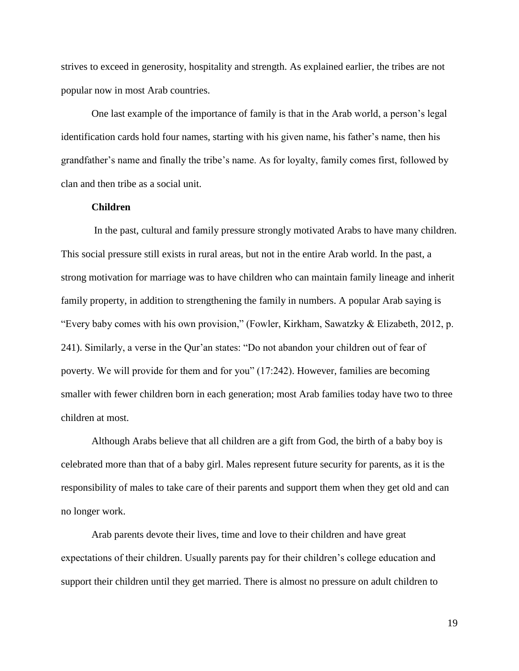strives to exceed in generosity, hospitality and strength. As explained earlier, the tribes are not popular now in most Arab countries.

One last example of the importance of family is that in the Arab world, a person's legal identification cards hold four names, starting with his given name, his father's name, then his grandfather's name and finally the tribe's name. As for loyalty, family comes first, followed by clan and then tribe as a social unit.

## **Children**

In the past, cultural and family pressure strongly motivated Arabs to have many children. This social pressure still exists in rural areas, but not in the entire Arab world. In the past, a strong motivation for marriage was to have children who can maintain family lineage and inherit family property, in addition to strengthening the family in numbers. A popular Arab saying is "Every baby comes with his own provision," (Fowler, Kirkham, Sawatzky  $&$  Elizabeth, 2012, p. 241). Similarly, a verse in the Qur'an states: "Do not abandon your children out of fear of poverty. We will provide for them and for you" (17:242). However, families are becoming smaller with fewer children born in each generation; most Arab families today have two to three children at most.

Although Arabs believe that all children are a gift from God, the birth of a baby boy is celebrated more than that of a baby girl. Males represent future security for parents, as it is the responsibility of males to take care of their parents and support them when they get old and can no longer work.

Arab parents devote their lives, time and love to their children and have great expectations of their children. Usually parents pay for their children's college education and support their children until they get married. There is almost no pressure on adult children to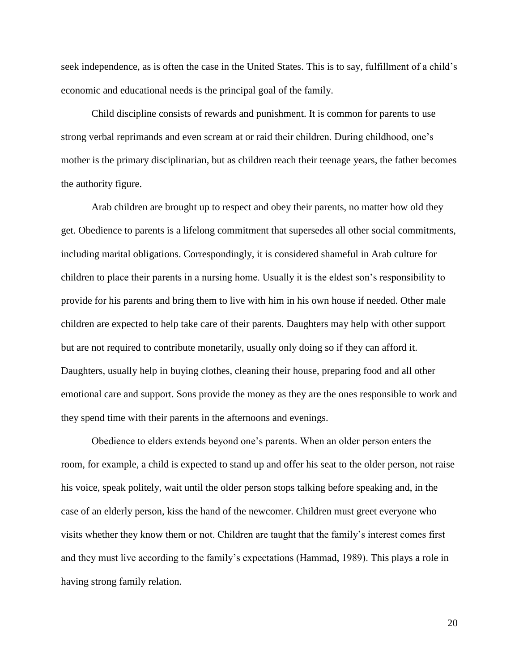seek independence, as is often the case in the United States. This is to say, fulfillment of a child's economic and educational needs is the principal goal of the family.

Child discipline consists of rewards and punishment. It is common for parents to use strong verbal reprimands and even scream at or raid their children. During childhood, one's mother is the primary disciplinarian, but as children reach their teenage years, the father becomes the authority figure.

Arab children are brought up to respect and obey their parents, no matter how old they get. Obedience to parents is a lifelong commitment that supersedes all other social commitments, including marital obligations. Correspondingly, it is considered shameful in Arab culture for children to place their parents in a nursing home. Usually it is the eldest son's responsibility to provide for his parents and bring them to live with him in his own house if needed. Other male children are expected to help take care of their parents. Daughters may help with other support but are not required to contribute monetarily, usually only doing so if they can afford it. Daughters, usually help in buying clothes, cleaning their house, preparing food and all other emotional care and support. Sons provide the money as they are the ones responsible to work and they spend time with their parents in the afternoons and evenings.

Obedience to elders extends beyond one's parents. When an older person enters the room, for example, a child is expected to stand up and offer his seat to the older person, not raise his voice, speak politely, wait until the older person stops talking before speaking and, in the case of an elderly person, kiss the hand of the newcomer. Children must greet everyone who visits whether they know them or not. Children are taught that the family's interest comes first and they must live according to the family's expectations (Hammad, 1989). This plays a role in having strong family relation.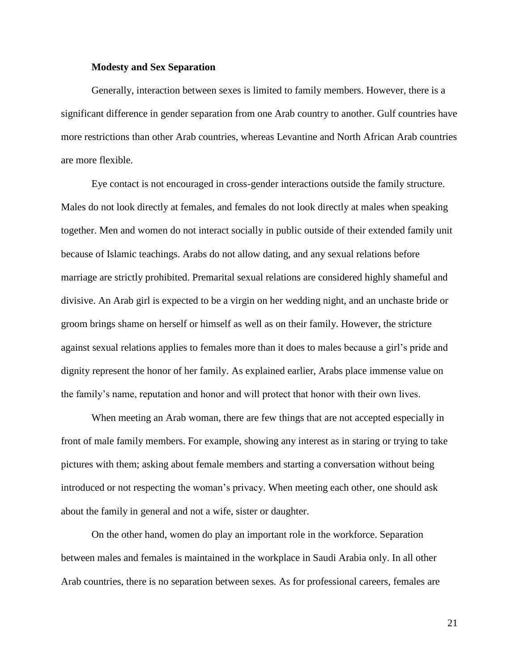## **Modesty and Sex Separation**

Generally, interaction between sexes is limited to family members. However, there is a significant difference in gender separation from one Arab country to another. Gulf countries have more restrictions than other Arab countries, whereas Levantine and North African Arab countries are more flexible.

Eye contact is not encouraged in cross-gender interactions outside the family structure. Males do not look directly at females, and females do not look directly at males when speaking together. Men and women do not interact socially in public outside of their extended family unit because of Islamic teachings. Arabs do not allow dating, and any sexual relations before marriage are strictly prohibited. Premarital sexual relations are considered highly shameful and divisive. An Arab girl is expected to be a virgin on her wedding night, and an unchaste bride or groom brings shame on herself or himself as well as on their family. However, the stricture against sexual relations applies to females more than it does to males because a girl's pride and dignity represent the honor of her family. As explained earlier, Arabs place immense value on the family's name, reputation and honor and will protect that honor with their own lives.

When meeting an Arab woman, there are few things that are not accepted especially in front of male family members. For example, showing any interest as in staring or trying to take pictures with them; asking about female members and starting a conversation without being introduced or not respecting the woman's privacy. When meeting each other, one should ask about the family in general and not a wife, sister or daughter.

On the other hand, women do play an important role in the workforce. Separation between males and females is maintained in the workplace in Saudi Arabia only. In all other Arab countries, there is no separation between sexes. As for professional careers, females are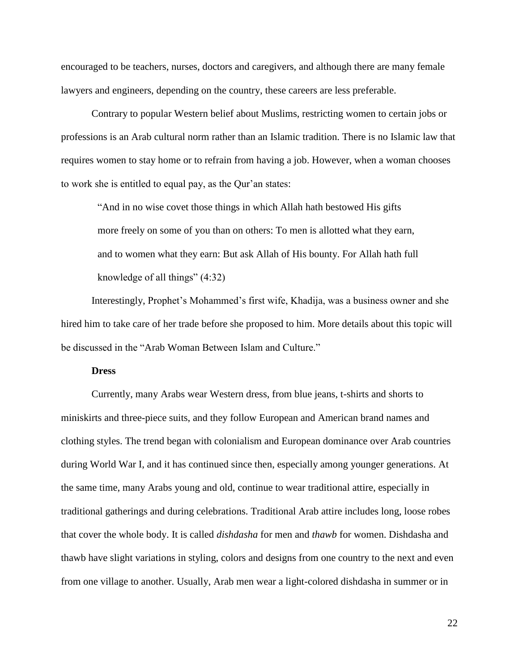encouraged to be teachers, nurses, doctors and caregivers, and although there are many female lawyers and engineers, depending on the country, these careers are less preferable.

Contrary to popular Western belief about Muslims, restricting women to certain jobs or professions is an Arab cultural norm rather than an Islamic tradition. There is no Islamic law that requires women to stay home or to refrain from having a job. However, when a woman chooses to work she is entitled to equal pay, as the Qur'an states:

"And in no wise covet those things in which Allah hath bestowed His gifts more freely on some of you than on others: To men is allotted what they earn, and to women what they earn: But ask Allah of His bounty. For Allah hath full knowledge of all things" (4:32)

Interestingly, Prophet's Mohammed's first wife, Khadija, was a business owner and she hired him to take care of her trade before she proposed to him. More details about this topic will be discussed in the "Arab Woman Between Islam and Culture."

#### **Dress**

Currently, many Arabs wear Western dress, from blue jeans, t-shirts and shorts to miniskirts and three-piece suits, and they follow European and American brand names and clothing styles. The trend began with colonialism and European dominance over Arab countries during World War I, and it has continued since then, especially among younger generations. At the same time, many Arabs young and old, continue to wear traditional attire, especially in traditional gatherings and during celebrations. Traditional Arab attire includes long, loose robes that cover the whole body. It is called *dishdasha* for men and *thawb* for women. Dishdasha and thawb have slight variations in styling, colors and designs from one country to the next and even from one village to another. Usually, Arab men wear a light-colored dishdasha in summer or in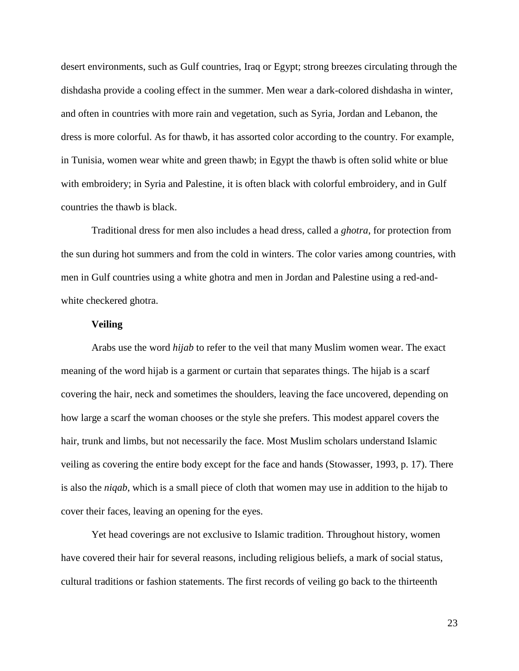desert environments, such as Gulf countries, Iraq or Egypt; strong breezes circulating through the dishdasha provide a cooling effect in the summer. Men wear a dark-colored dishdasha in winter, and often in countries with more rain and vegetation, such as Syria, Jordan and Lebanon, the dress is more colorful. As for thawb, it has assorted color according to the country. For example, in Tunisia, women wear white and green thawb; in Egypt the thawb is often solid white or blue with embroidery; in Syria and Palestine, it is often black with colorful embroidery, and in Gulf countries the thawb is black.

Traditional dress for men also includes a head dress, called a *ghotra*, for protection from the sun during hot summers and from the cold in winters. The color varies among countries, with men in Gulf countries using a white ghotra and men in Jordan and Palestine using a red-andwhite checkered ghotra.

## **Veiling**

Arabs use the word *hijab* to refer to the veil that many Muslim women wear. The exact meaning of the word hijab is a garment or curtain that separates things. The hijab is a scarf covering the hair, neck and sometimes the shoulders, leaving the face uncovered, depending on how large a scarf the woman chooses or the style she prefers. This modest apparel covers the hair, trunk and limbs, but not necessarily the face. Most Muslim scholars understand Islamic veiling as covering the entire body except for the face and hands (Stowasser, 1993, p. 17). There is also the *niqab*, which is a small piece of cloth that women may use in addition to the hijab to cover their faces, leaving an opening for the eyes.

Yet head coverings are not exclusive to Islamic tradition. Throughout history, women have covered their hair for several reasons, including religious beliefs, a mark of social status, cultural traditions or fashion statements. The first records of veiling go back to the thirteenth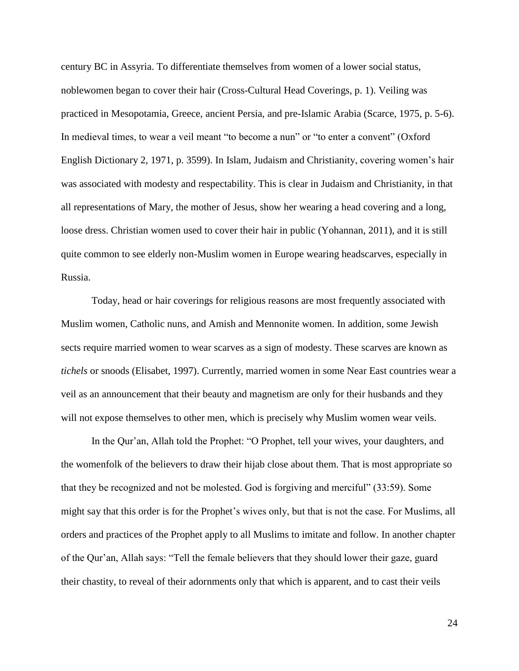century BC in Assyria. To differentiate themselves from women of a lower social status, noblewomen began to cover their hair (Cross-Cultural Head Coverings, p. 1). Veiling was practiced in Mesopotamia, Greece, ancient Persia, and pre-Islamic Arabia (Scarce, 1975, p. 5-6). In medieval times, to wear a veil meant "to become a nun" or "to enter a convent" (Oxford English Dictionary 2, 1971, p. 3599). In Islam, Judaism and Christianity, covering women's hair was associated with modesty and respectability. This is clear in Judaism and Christianity, in that all representations of Mary, the mother of Jesus, show her wearing a head covering and a long, loose dress. Christian women used to cover their hair in public (Yohannan, 2011), and it is still quite common to see elderly non-Muslim women in Europe wearing headscarves, especially in Russia.

Today, head or hair coverings for religious reasons are most frequently associated with Muslim women, Catholic nuns, and Amish and Mennonite women. In addition, some Jewish sects require married women to wear scarves as a sign of modesty. These scarves are known as *tichels* or snoods (Elisabet, 1997). Currently, married women in some Near East countries wear a veil as an announcement that their beauty and magnetism are only for their husbands and they will not expose themselves to other men, which is precisely why Muslim women wear veils.

In the Qur'an, Allah told the Prophet: "O Prophet, tell your wives, your daughters, and the womenfolk of the believers to draw their hijab close about them. That is most appropriate so that they be recognized and not be molested. God is forgiving and merciful" (33:59). Some might say that this order is for the Prophet's wives only, but that is not the case. For Muslims, all orders and practices of the Prophet apply to all Muslims to imitate and follow. In another chapter of the Qur'an, Allah says: "Tell the female believers that they should lower their gaze, guard their chastity, to reveal of their adornments only that which is apparent, and to cast their veils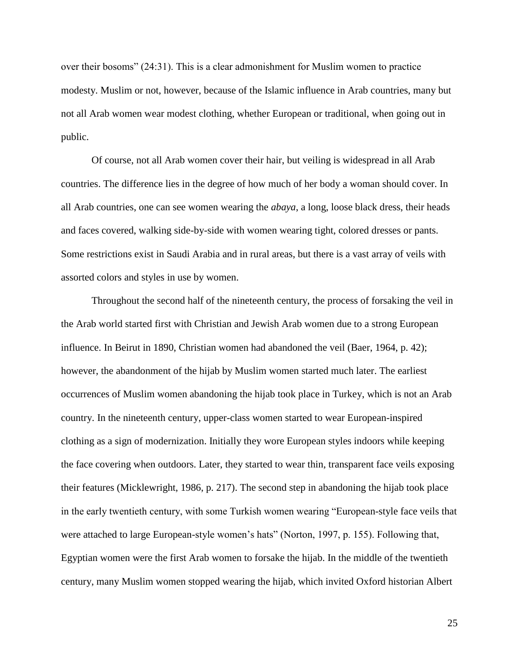over their bosoms" (24:31). This is a clear admonishment for Muslim women to practice modesty. Muslim or not, however, because of the Islamic influence in Arab countries, many but not all Arab women wear modest clothing, whether European or traditional, when going out in public.

Of course, not all Arab women cover their hair, but veiling is widespread in all Arab countries. The difference lies in the degree of how much of her body a woman should cover. In all Arab countries, one can see women wearing the *abaya*, a long, loose black dress, their heads and faces covered, walking side-by-side with women wearing tight, colored dresses or pants. Some restrictions exist in Saudi Arabia and in rural areas, but there is a vast array of veils with assorted colors and styles in use by women.

Throughout the second half of the nineteenth century, the process of forsaking the veil in the Arab world started first with Christian and Jewish Arab women due to a strong European influence. In Beirut in 1890, Christian women had abandoned the veil (Baer, 1964, p. 42); however, the abandonment of the hijab by Muslim women started much later. The earliest occurrences of Muslim women abandoning the hijab took place in Turkey, which is not an Arab country. In the nineteenth century, upper-class women started to wear European-inspired clothing as a sign of modernization. Initially they wore European styles indoors while keeping the face covering when outdoors. Later, they started to wear thin, transparent face veils exposing their features (Micklewright, 1986, p. 217). The second step in abandoning the hijab took place in the early twentieth century, with some Turkish women wearing "European-style face veils that were attached to large European-style women's hats" (Norton, 1997, p. 155). Following that, Egyptian women were the first Arab women to forsake the hijab. In the middle of the twentieth century, many Muslim women stopped wearing the hijab, which invited Oxford historian Albert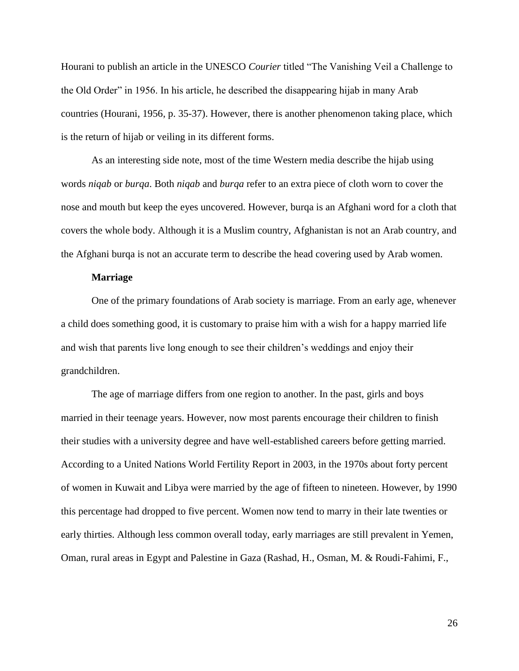Hourani to publish an article in the UNESCO *Courier* titled "The Vanishing Veil a Challenge to the Old Order" in 1956. In his article, he described the disappearing hijab in many Arab countries (Hourani, 1956, p. 35-37). However, there is another phenomenon taking place, which is the return of hijab or veiling in its different forms.

As an interesting side note, most of the time Western media describe the hijab using words *niqab* or *burqa*. Both *niqab* and *burqa* refer to an extra piece of cloth worn to cover the nose and mouth but keep the eyes uncovered. However, burqa is an Afghani word for a cloth that covers the whole body. Although it is a Muslim country, Afghanistan is not an Arab country, and the Afghani burqa is not an accurate term to describe the head covering used by Arab women.

## **Marriage**

One of the primary foundations of Arab society is marriage. From an early age, whenever a child does something good, it is customary to praise him with a wish for a happy married life and wish that parents live long enough to see their children's weddings and enjoy their grandchildren.

The age of marriage differs from one region to another. In the past, girls and boys married in their teenage years. However, now most parents encourage their children to finish their studies with a university degree and have well-established careers before getting married. According to a United Nations World Fertility Report in 2003, in the 1970s about forty percent of women in Kuwait and Libya were married by the age of fifteen to nineteen. However, by 1990 this percentage had dropped to five percent. Women now tend to marry in their late twenties or early thirties. Although less common overall today, early marriages are still prevalent in Yemen, Oman, rural areas in Egypt and Palestine in Gaza (Rashad, H., Osman, M. & Roudi-Fahimi, F.,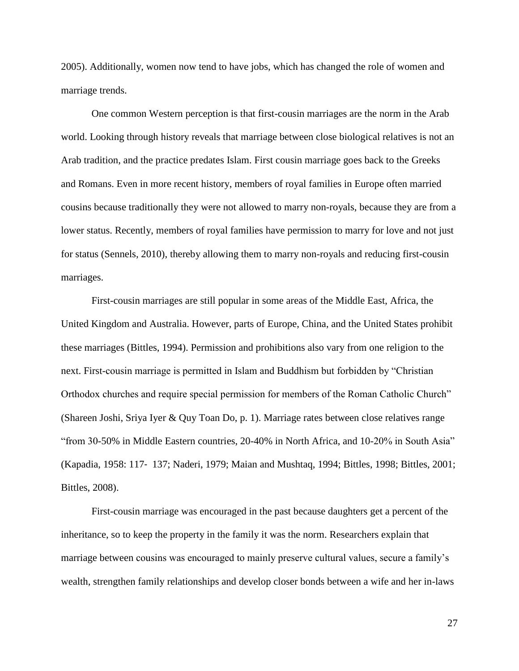2005). Additionally, women now tend to have jobs, which has changed the role of women and marriage trends.

One common Western perception is that first-cousin marriages are the norm in the Arab world. Looking through history reveals that marriage between close biological relatives is not an Arab tradition, and the practice predates Islam. First cousin marriage goes back to the Greeks and Romans. Even in more recent history, members of royal families in Europe often married cousins because traditionally they were not allowed to marry non-royals, because they are from a lower status. Recently, members of royal families have permission to marry for love and not just for status (Sennels, 2010), thereby allowing them to marry non-royals and reducing first-cousin marriages.

First-cousin marriages are still popular in some areas of the Middle East, Africa, the United Kingdom and Australia. However, parts of Europe, China, and the United States prohibit these marriages (Bittles, 1994). Permission and prohibitions also vary from one religion to the next. First-cousin marriage is permitted in Islam and Buddhism but forbidden by "Christian Orthodox churches and require special permission for members of the Roman Catholic Church" (Shareen Joshi, Sriya Iyer & Quy Toan Do, p. 1). Marriage rates between close relatives range "from 30-50% in Middle Eastern countries, 20-40% in North Africa, and 10-20% in South Asia" (Kapadia, 1958: 117‐ 137; Naderi, 1979; Maian and Mushtaq, 1994; Bittles, 1998; Bittles, 2001; Bittles, 2008).

First-cousin marriage was encouraged in the past because daughters get a percent of the inheritance, so to keep the property in the family it was the norm. Researchers explain that marriage between cousins was encouraged to mainly preserve cultural values, secure a family's wealth, strengthen family relationships and develop closer bonds between a wife and her in-laws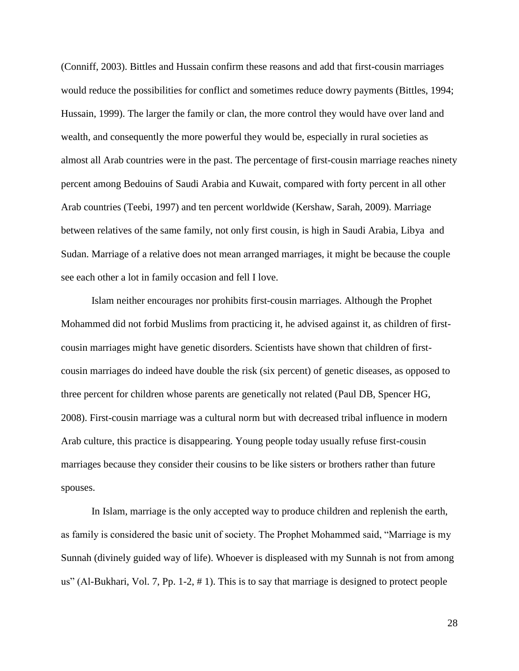(Conniff, 2003). Bittles and Hussain confirm these reasons and add that first-cousin marriages would reduce the possibilities for conflict and sometimes reduce dowry payments (Bittles, 1994; Hussain, 1999). The larger the family or clan, the more control they would have over land and wealth, and consequently the more powerful they would be, especially in rural societies as almost all Arab countries were in the past. The percentage of first-cousin marriage reaches ninety percent among Bedouins of Saudi Arabia and Kuwait, compared with forty percent in all other Arab countries (Teebi, 1997) and ten percent worldwide (Kershaw, Sarah, 2009). Marriage between relatives of the same family, not only first cousin, is high in Saudi Arabia, Libya and Sudan. Marriage of a relative does not mean arranged marriages, it might be because the couple see each other a lot in family occasion and fell I love.

Islam neither encourages nor prohibits first-cousin marriages. Although the Prophet Mohammed did not forbid Muslims from practicing it, he advised against it, as children of firstcousin marriages might have genetic disorders. Scientists have shown that children of firstcousin marriages do indeed have double the risk (six percent) of genetic diseases, as opposed to three percent for children whose parents are genetically not related (Paul DB, Spencer HG, 2008). First-cousin marriage was a cultural norm but with decreased tribal influence in modern Arab culture, this practice is disappearing. Young people today usually refuse first-cousin marriages because they consider their cousins to be like sisters or brothers rather than future spouses.

In Islam, marriage is the only accepted way to produce children and replenish the earth, as family is considered the basic unit of society. The Prophet Mohammed said, "Marriage is my Sunnah (divinely guided way of life). Whoever is displeased with my Sunnah is not from among us" (Al-Bukhari, Vol. 7, Pp. 1-2, # 1). This is to say that marriage is designed to protect people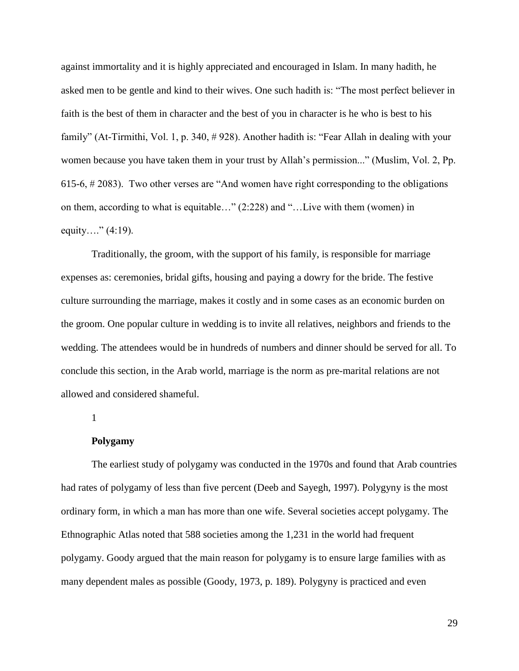against immortality and it is highly appreciated and encouraged in Islam. In many hadith, he asked men to be gentle and kind to their wives. One such hadith is: "The most perfect believer in faith is the best of them in character and the best of you in character is he who is best to his family" (At-Tirmithi, Vol. 1, p. 340, # 928). Another hadith is: "Fear Allah in dealing with your women because you have taken them in your trust by Allah's permission..." (Muslim, Vol. 2, Pp. 615-6, # 2083). Two other verses are "And women have right corresponding to the obligations on them, according to what is equitable…" (2:228) and "…Live with them (women) in equity...."  $(4:19)$ .

Traditionally, the groom, with the support of his family, is responsible for marriage expenses as: ceremonies, bridal gifts, housing and paying a dowry for the bride. The festive culture surrounding the marriage, makes it costly and in some cases as an economic burden on the groom. One popular culture in wedding is to invite all relatives, neighbors and friends to the wedding. The attendees would be in hundreds of numbers and dinner should be served for all. To conclude this section, in the Arab world, marriage is the norm as pre-marital relations are not allowed and considered shameful.

#### 1

#### **Polygamy**

The earliest study of polygamy was conducted in the 1970s and found that Arab countries had rates of polygamy of less than five percent (Deeb and Sayegh, 1997). Polygyny is the most ordinary form, in which a man has more than one wife. Several societies accept polygamy. The Ethnographic Atlas noted that 588 societies among the 1,231 in the world had frequent polygamy. Goody argued that the main reason for polygamy is to ensure large families with as many dependent males as possible (Goody, 1973, p. 189). Polygyny is practiced and even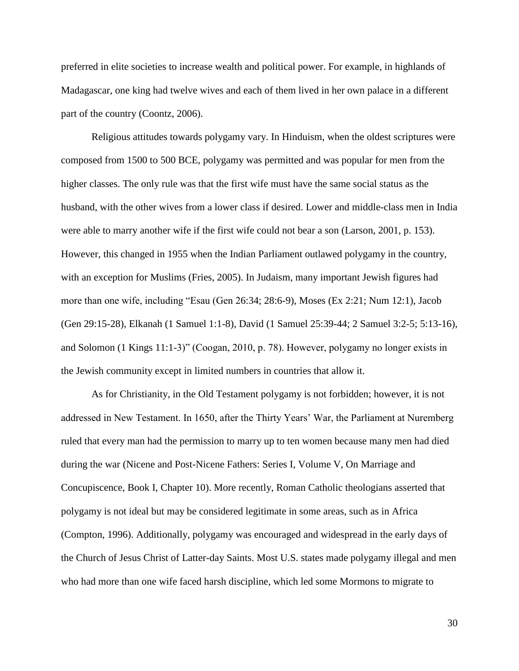preferred in elite societies to increase wealth and political power. For example, in highlands of Madagascar, one king had twelve wives and each of them lived in her own palace in a different part of the country (Coontz, 2006).

Religious attitudes towards polygamy vary. In Hinduism, when the oldest scriptures were composed from 1500 to 500 BCE, polygamy was permitted and was popular for men from the higher classes. The only rule was that the first wife must have the same social status as the husband, with the other wives from a lower class if desired. Lower and middle-class men in India were able to marry another wife if the first wife could not bear a son (Larson, 2001, p. 153). However, this changed in 1955 when the Indian Parliament outlawed polygamy in the country, with an exception for Muslims (Fries, 2005). In Judaism, many important Jewish figures had more than one wife, including "Esau (Gen 26:34; 28:6-9), Moses (Ex 2:21; Num 12:1), Jacob (Gen 29:15-28), Elkanah (1 Samuel 1:1-8), David (1 Samuel 25:39-44; 2 Samuel 3:2-5; 5:13-16), and Solomon (1 Kings 11:1-3)" (Coogan, 2010, p. 78). However, polygamy no longer exists in the Jewish community except in limited numbers in countries that allow it.

As for Christianity, in the Old Testament polygamy is not forbidden; however, it is not addressed in New Testament. In 1650, after the Thirty Years' War, the Parliament at Nuremberg ruled that every man had the permission to marry up to ten women because many men had died during the war (Nicene and Post-Nicene Fathers: Series I, Volume V, On Marriage and Concupiscence, Book I, Chapter 10). More recently, Roman Catholic theologians asserted that polygamy is not ideal but may be considered legitimate in some areas, such as in Africa (Compton, 1996). Additionally, polygamy was encouraged and widespread in the early days of the Church of Jesus Christ of Latter*-*day Saints. Most U.S. states made polygamy illegal and men who had more than one wife faced harsh discipline, which led some Mormons to migrate to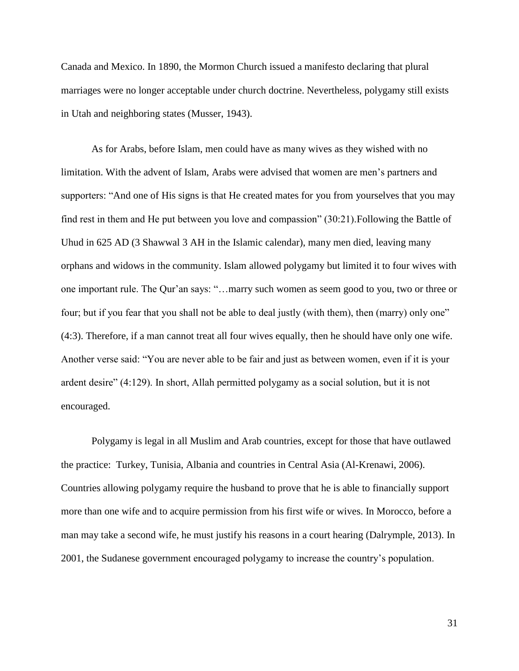Canada and Mexico. In 1890, the Mormon Church issued a manifesto declaring that plural marriages were no longer acceptable under church doctrine. Nevertheless, polygamy still exists in Utah and neighboring states (Musser, 1943).

As for Arabs, before Islam, men could have as many wives as they wished with no limitation. With the advent of Islam, Arabs were advised that women are men's partners and supporters: "And one of His signs is that He created mates for you from yourselves that you may find rest in them and He put between you love and compassion" (30:21).Following the Battle of Uhud in 625 AD (3 [Shawwal](https://en.wikipedia.org/wiki/Shawwal) 3 AH in the [Islamic calendar\)](https://en.wikipedia.org/wiki/Islamic_calendar), many men died, leaving many orphans and widows in the community. Islam allowed polygamy but limited it to four wives with one important rule. The Qur'an says: "…marry such women as seem good to you, two or three or four; but if you fear that you shall not be able to deal justly (with them), then (marry) only one" (4:3). Therefore, if a man cannot treat all four wives equally, then he should have only one wife. Another verse said: "You are never able to be fair and just as between women, even if it is your ardent desire" (4:129). In short, Allah permitted polygamy as a social solution, but it is not encouraged.

Polygamy is legal in all Muslim and Arab countries, except for those that have outlawed the practice: Turkey, Tunisia, Albania and countries in Central Asia (Al-Krenawi, 2006). Countries allowing polygamy require the husband to prove that he is able to financially support more than one wife and to acquire permission from his first wife or wives. In Morocco, before a man may take a second wife, he must justify his reasons in a court hearing (Dalrymple, 2013). In 2001, the Sudanese government encouraged polygamy to increase the country's population.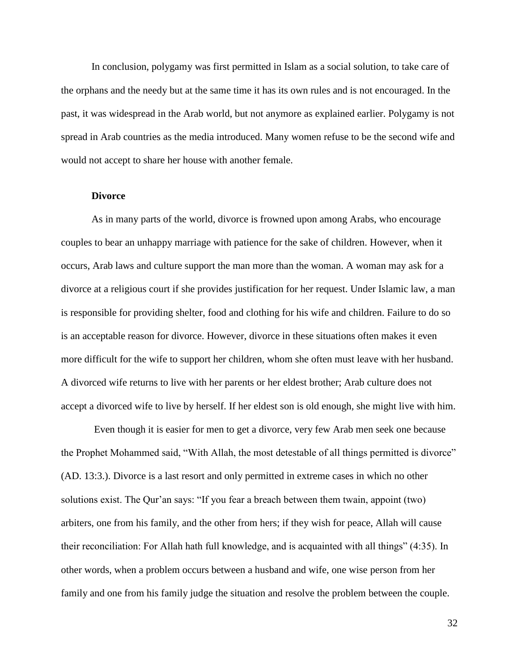In conclusion, polygamy was first permitted in Islam as a social solution, to take care of the orphans and the needy but at the same time it has its own rules and is not encouraged. In the past, it was widespread in the Arab world, but not anymore as explained earlier. Polygamy is not spread in Arab countries as the media introduced. Many women refuse to be the second wife and would not accept to share her house with another female.

# **Divorce**

As in many parts of the world, divorce is frowned upon among Arabs, who encourage couples to bear an unhappy marriage with patience for the sake of children. However, when it occurs, Arab laws and culture support the man more than the woman. A woman may ask for a divorce at a religious court if she provides justification for her request. Under Islamic law, a man is responsible for providing shelter, food and clothing for his wife and children. Failure to do so is an acceptable reason for divorce. However, divorce in these situations often makes it even more difficult for the wife to support her children, whom she often must leave with her husband. A divorced wife returns to live with her parents or her eldest brother; Arab culture does not accept a divorced wife to live by herself. If her eldest son is old enough, she might live with him.

Even though it is easier for men to get a divorce, very few Arab men seek one because the Prophet Mohammed said, "With Allah, the most detestable of all things permitted is divorce" (AD. 13:3.). Divorce is a last resort and only permitted in extreme cases in which no other solutions exist. The Qur'an says: "If you fear a breach between them twain, appoint (two) arbiters, one from his family, and the other from hers; if they wish for peace, Allah will cause their reconciliation: For Allah hath full knowledge, and is acquainted with all things" (4:35). In other words, when a problem occurs between a husband and wife, one wise person from her family and one from his family judge the situation and resolve the problem between the couple.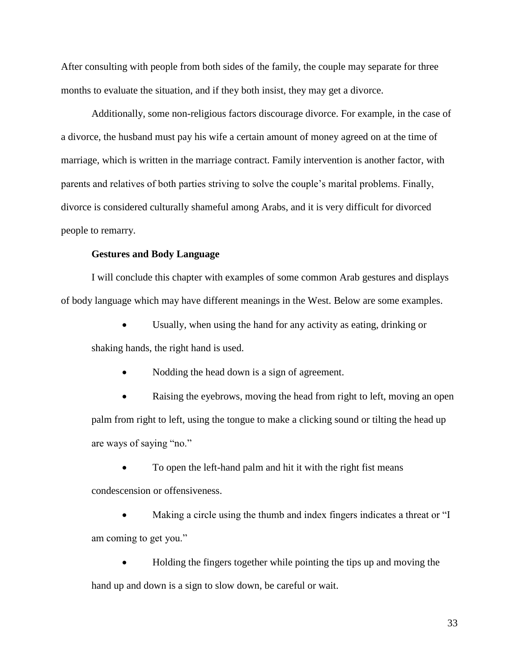After consulting with people from both sides of the family, the couple may separate for three months to evaluate the situation, and if they both insist, they may get a divorce.

Additionally, some non-religious factors discourage divorce. For example, in the case of a divorce, the husband must pay his wife a certain amount of money agreed on at the time of marriage, which is written in the marriage contract. Family intervention is another factor, with parents and relatives of both parties striving to solve the couple's marital problems. Finally, divorce is considered culturally shameful among Arabs, and it is very difficult for divorced people to remarry.

# **Gestures and Body Language**

I will conclude this chapter with examples of some common Arab gestures and displays of body language which may have different meanings in the West. Below are some examples.

 Usually, when using the hand for any activity as eating, drinking or shaking hands, the right hand is used.

Nodding the head down is a sign of agreement.

 Raising the eyebrows, moving the head from right to left, moving an open palm from right to left, using the tongue to make a clicking sound or tilting the head up are ways of saying "no."

To open the left-hand palm and hit it with the right fist means

condescension or offensiveness.

 Making a circle using the thumb and index fingers indicates a threat or "I am coming to get you."

 Holding the fingers together while pointing the tips up and moving the hand up and down is a sign to slow down, be careful or wait.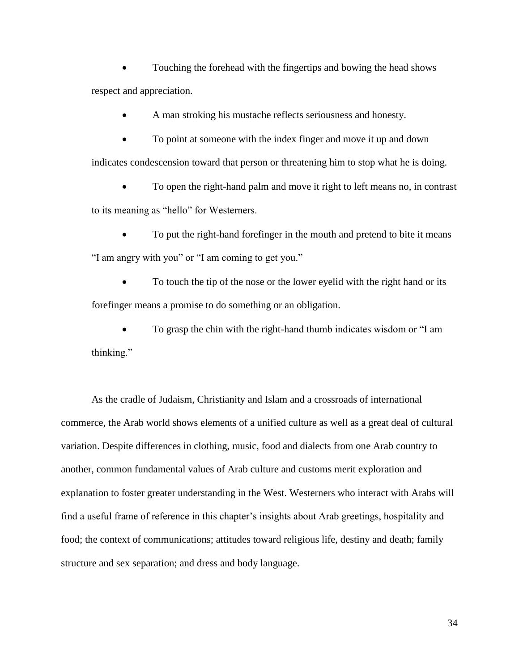Touching the forehead with the fingertips and bowing the head shows respect and appreciation.

A man stroking his mustache reflects seriousness and honesty.

 To point at someone with the index finger and move it up and down indicates condescension toward that person or threatening him to stop what he is doing.

• To open the right-hand palm and move it right to left means no, in contrast to its meaning as "hello" for Westerners.

 To put the right-hand forefinger in the mouth and pretend to bite it means "I am angry with you" or "I am coming to get you."

 To touch the tip of the nose or the lower eyelid with the right hand or its forefinger means a promise to do something or an obligation.

 To grasp the chin with the right-hand thumb indicates wisdom or "I am thinking."

As the cradle of Judaism, Christianity and Islam and a crossroads of international commerce, the Arab world shows elements of a unified culture as well as a great deal of cultural variation. Despite differences in clothing, music, food and dialects from one Arab country to another, common fundamental values of Arab culture and customs merit exploration and explanation to foster greater understanding in the West. Westerners who interact with Arabs will find a useful frame of reference in this chapter's insights about Arab greetings, hospitality and food; the context of communications; attitudes toward religious life, destiny and death; family structure and sex separation; and dress and body language.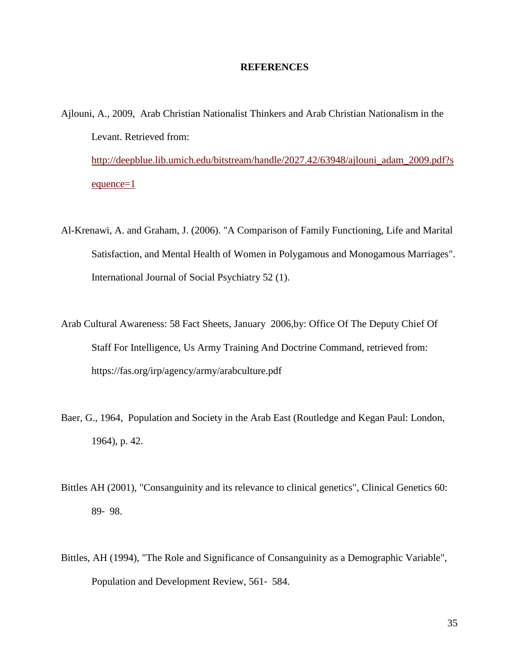#### **REFERENCES**

- Ajlouni, A., 2009, Arab Christian Nationalist Thinkers and Arab Christian Nationalism in the Levant. Retrieved from: [http://deepblue.lib.umich.edu/bitstream/handle/2027.42/63948/ajlouni\\_adam\\_2009.pdf?s](http://deepblue.lib.umich.edu/bitstream/handle/2027.42/63948/ajlouni_adam_2009.pdf?sequence=1) [equence=1](http://deepblue.lib.umich.edu/bitstream/handle/2027.42/63948/ajlouni_adam_2009.pdf?sequence=1)
- Al-Krenawi, A. and Graham, J. (2006). "A Comparison of Family Functioning, Life and Marital Satisfaction, and Mental Health of Women in Polygamous and Monogamous Marriages". International Journal of Social Psychiatry 52 (1).
- Arab Cultural Awareness: 58 Fact Sheets, January 2006,by: Office Of The Deputy Chief Of Staff For Intelligence, Us Army Training And Doctrine Command, retrieved from: https://fas.org/irp/agency/army/arabculture.pdf
- Baer, G., 1964, Population and Society in the Arab East (Routledge and Kegan Paul: London, 1964), p. 42.
- Bittles AH (2001), "Consanguinity and its relevance to clinical genetics", Clinical Genetics 60: 89‐ 98.
- Bittles, AH (1994), "The Role and Significance of Consanguinity as a Demographic Variable", Population and Development Review, 561‐ 584.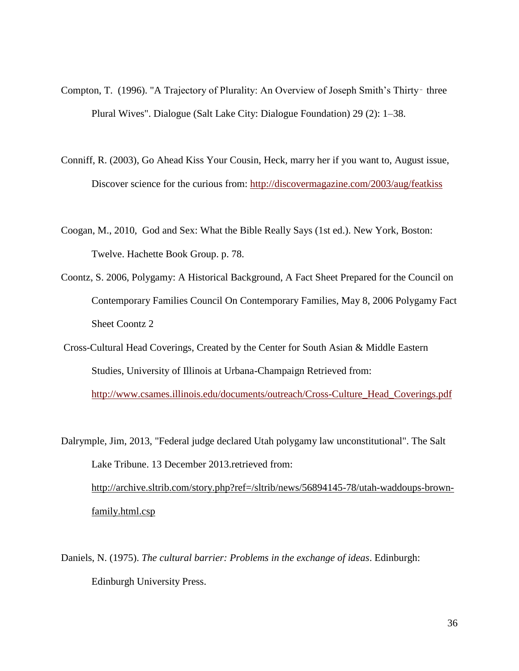- Compton, T. (1996). "A Trajectory of Plurality: An Overview of Joseph Smith's Thirty-three Plural Wives". Dialogue (Salt Lake City: Dialogue Foundation) 29 (2): 1–38.
- Conniff, R. (2003), Go Ahead Kiss Your Cousin, Heck, marry her if you want to, August issue, Discover science for the curious from:<http://discovermagazine.com/2003/aug/featkiss>
- Coogan, M., 2010, God and Sex: What the Bible Really Says (1st ed.). New York, Boston: Twelve. Hachette Book Group. p. 78.
- Coontz, S. 2006, Polygamy: A Historical Background, A Fact Sheet Prepared for the Council on Contemporary Families Council On Contemporary Families, May 8, 2006 Polygamy Fact Sheet Coontz 2
- Cross-Cultural Head Coverings, Created by the Center for South Asian & Middle Eastern Studies, University of Illinois at Urbana-Champaign Retrieved from: [http://www.csames.illinois.edu/documents/outreach/Cross-Culture\\_Head\\_Coverings.pdf](http://www.csames.illinois.edu/documents/outreach/Cross-Culture_Head_Coverings.pdf)

Dalrymple, Jim, 2013, "Federal judge declared Utah polygamy law unconstitutional". The Salt Lake Tribune. 13 December 2013.retrieved from: [http://archive.sltrib.com/story.php?ref=/sltrib/news/56894145-78/utah-waddoups-brown](http://archive.sltrib.com/story.php?ref=/sltrib/news/56894145-78/utah-waddoups-brown-family.html.csp)[family.html.csp](http://archive.sltrib.com/story.php?ref=/sltrib/news/56894145-78/utah-waddoups-brown-family.html.csp)

Daniels, N. (1975). *The cultural barrier: Problems in the exchange of ideas*. Edinburgh: Edinburgh University Press.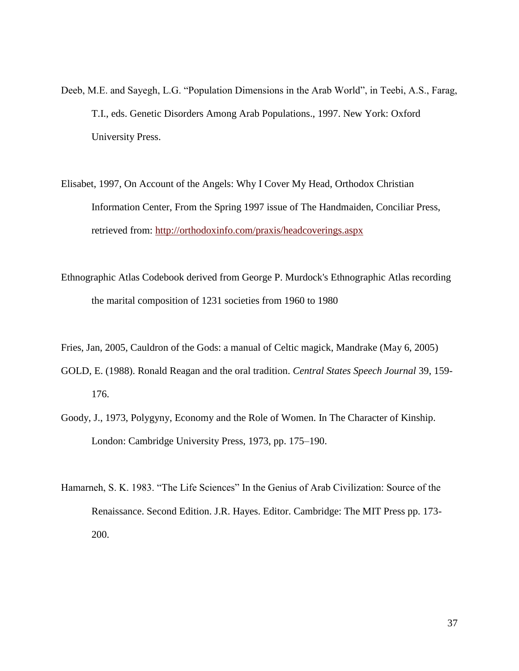- Deeb, M.E. and Sayegh, L.G. "Population Dimensions in the Arab World", in Teebi, A.S., Farag, T.I., eds. Genetic Disorders Among Arab Populations., 1997. New York: Oxford University Press.
- Elisabet, 1997, On Account of the Angels: Why I Cover My Head, Orthodox Christian Information Center, From the Spring 1997 issue of The Handmaiden, Conciliar Press, retrieved from:<http://orthodoxinfo.com/praxis/headcoverings.aspx>
- Ethnographic Atlas Codebook derived from George P. Murdock's Ethnographic Atlas recording the marital composition of 1231 societies from 1960 to 1980

Fries, Jan, 2005, Cauldron of the Gods: a manual of Celtic magick, Mandrake (May 6, 2005)

- GOLD, E. (1988). Ronald Reagan and the oral tradition. *Central States Speech Journal* 39, 159- 176.
- Goody, J., 1973, Polygyny, Economy and the Role of Women. In The Character of Kinship. London: Cambridge University Press, 1973, pp. 175–190.
- Hamarneh, S. K. 1983. "The Life Sciences" In the Genius of Arab Civilization: Source of the Renaissance. Second Edition. J.R. Hayes. Editor. Cambridge: The MIT Press pp. 173- 200.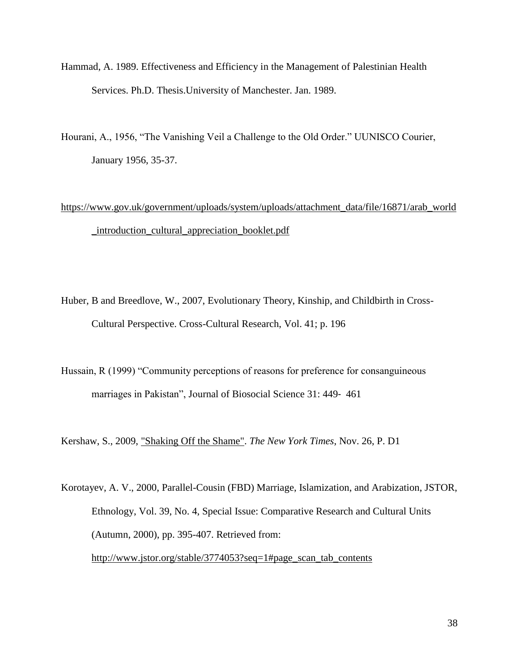- Hammad, A. 1989. Effectiveness and Efficiency in the Management of Palestinian Health Services. Ph.D. Thesis.University of Manchester. Jan. 1989.
- Hourani, A., 1956, "The Vanishing Veil a Challenge to the Old Order." UUNISCO Courier, January 1956, 35-37.

# [https://www.gov.uk/government/uploads/system/uploads/attachment\\_data/file/16871/arab\\_world](https://www.gov.uk/government/uploads/system/uploads/attachment_data/file/16871/arab_world_introduction_cultural_appreciation_booklet.pdf) [\\_introduction\\_cultural\\_appreciation\\_booklet.pdf](https://www.gov.uk/government/uploads/system/uploads/attachment_data/file/16871/arab_world_introduction_cultural_appreciation_booklet.pdf)

- Huber, B and Breedlove, W., 2007, Evolutionary Theory, Kinship, and Childbirth in Cross-Cultural Perspective. Cross-Cultural Research, Vol. 41; p. 196
- Hussain, R (1999) "Community perceptions of reasons for preference for consanguineous marriages in Pakistan", Journal of Biosocial Science 31: 449‐ 461

Kershaw, S., 2009, ["Shaking Off the Shame".](http://www.nytimes.com/2009/11/26/garden/26cousins.html?pagewanted=1&_r=1) *The New York Times*, Nov. 26, P. D1

Korotayev, A. V., 2000, Parallel-Cousin (FBD) Marriage, Islamization, and Arabization, JSTOR, Ethnology, Vol. 39, No. 4, Special Issue: Comparative Research and Cultural Units (Autumn, 2000), pp. 395-407. Retrieved from: [http://www.jstor.org/stable/3774053?seq=1#page\\_scan\\_tab\\_contents](http://www.jstor.org/stable/3774053?seq=1#page_scan_tab_contents)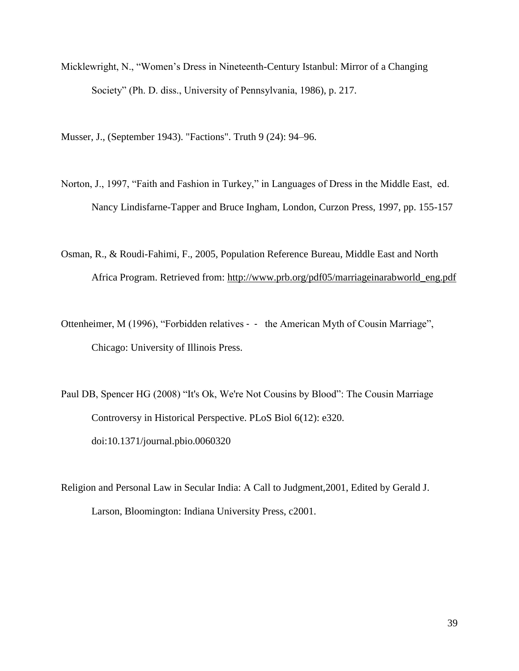Micklewright, N., "Women's Dress in Nineteenth-Century Istanbul: Mirror of a Changing Society" (Ph. D. diss., University of Pennsylvania, 1986), p. 217.

Musser, J., (September 1943). "Factions". Truth 9 (24): 94–96.

- Norton, J., 1997, "Faith and Fashion in Turkey," in Languages of Dress in the Middle East, ed. Nancy Lindisfarne-Tapper and Bruce Ingham, London, Curzon Press, 1997, pp. 155-157
- Osman, R., & Roudi-Fahimi, F., 2005, Population Reference Bureau, Middle East and North Africa Program. Retrieved from: [http://www.prb.org/pdf05/marriageinarabworld\\_eng.pdf](http://www.prb.org/pdf05/marriageinarabworld_eng.pdf)
- Ottenheimer, M (1996), "Forbidden relatives ‐ ‐ the American Myth of Cousin Marriage", Chicago: University of Illinois Press.
- Paul DB, Spencer HG (2008) "It's Ok, We're Not Cousins by Blood": The Cousin Marriage Controversy in Historical Perspective. PLoS Biol 6(12): e320. doi:10.1371/journal.pbio.0060320
- Religion and Personal Law in Secular India: A Call to Judgment,2001, Edited by Gerald J. Larson, Bloomington: Indiana University Press, c2001.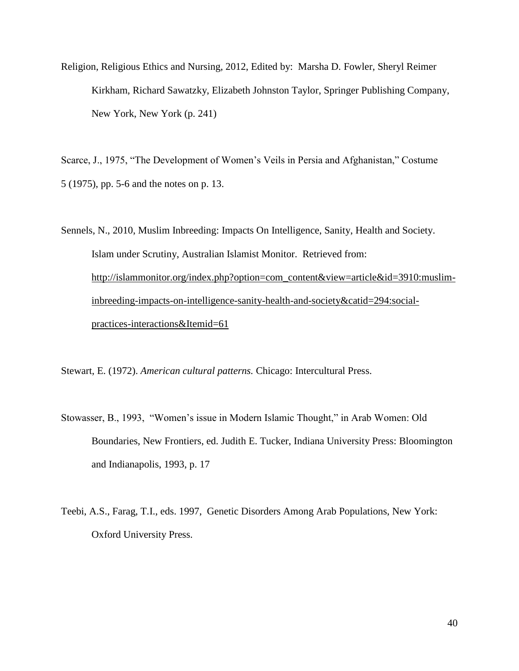Religion, Religious Ethics and Nursing, 2012, Edited by: Marsha D. Fowler, Sheryl Reimer Kirkham, Richard Sawatzky, Elizabeth Johnston Taylor, Springer Publishing Company, New York, New York (p. 241)

Scarce, J., 1975, "The Development of Women's Veils in Persia and Afghanistan," Costume 5 (1975), pp. 5-6 and the notes on p. 13.

Sennels, N., 2010, Muslim Inbreeding: Impacts On Intelligence, Sanity, Health and Society. Islam under Scrutiny, Australian Islamist Monitor. Retrieved from: [http://islammonitor.org/index.php?option=com\\_content&view=article&id=3910:muslim](http://islammonitor.org/index.php?option=com_content&view=article&id=3910:muslim-inbreeding-impacts-on-intelligence-sanity-health-and-society&catid=294:social-practices-interactions&Itemid=61)[inbreeding-impacts-on-intelligence-sanity-health-and-society&catid=294:social](http://islammonitor.org/index.php?option=com_content&view=article&id=3910:muslim-inbreeding-impacts-on-intelligence-sanity-health-and-society&catid=294:social-practices-interactions&Itemid=61)[practices-interactions&Itemid=61](http://islammonitor.org/index.php?option=com_content&view=article&id=3910:muslim-inbreeding-impacts-on-intelligence-sanity-health-and-society&catid=294:social-practices-interactions&Itemid=61)

Stewart, E. (1972). *American cultural patterns.* Chicago: Intercultural Press.

- Stowasser, B., 1993, "Women's issue in Modern Islamic Thought," in Arab Women: Old Boundaries, New Frontiers, ed. Judith E. Tucker, Indiana University Press: Bloomington and Indianapolis, 1993, p. 17
- Teebi, A.S., Farag, T.I., eds. 1997, Genetic Disorders Among Arab Populations, New York: Oxford University Press.